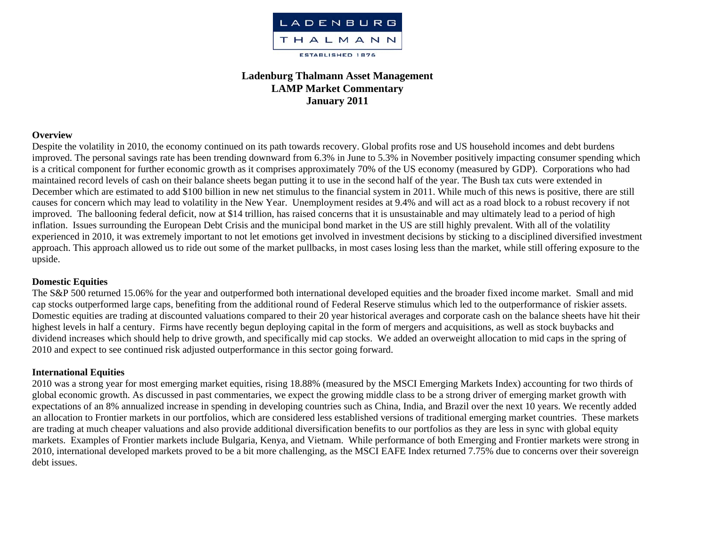

# **Ladenburg Thalmann Asset Management LAMP Market Commentary January 2011**

#### **Overview**

Despite the volatility in 2010, the economy continued on its path towards recovery. Global profits rose and US household incomes and debt burdens improved. The personal savings rate has been trending downward from 6.3% in June to 5.3% in November positively impacting consumer spending which is a critical component for further economic growth as it comprises approximately 70% of the US economy (measured by GDP). Corporations who had maintained record levels of cash on their balance sheets began putting it to use in the second half of the year. The Bush tax cuts were extended in December which are estimated to add \$100 billion in new net stimulus to the financial system in 2011. While much of this news is positive, there are still causes for concern which may lead to volatility in the New Year. Unemployment resides at 9.4% and will act as a road block to a robust recovery if not improved. The ballooning federal deficit, now at \$14 trillion, has raised concerns that it is unsustainable and may ultimately lead to a period of high inflation. Issues surrounding the European Debt Crisis and the municipal bond market in the US are still highly prevalent. With all of the volatility experienced in 2010, it was extremely important to not let emotions get involved in investment decisions by sticking to a disciplined diversified investment approach. This approach allowed us to ride out some of the market pullbacks, in most cases losing less than the market, while still offering exposure to the upside.

### **Domestic Equities**

The S&P 500 returned 15.06% for the year and outperformed both international developed equities and the broader fixed income market. Small and mid cap stocks outperformed large caps, benefiting from the additional round of Federal Reserve stimulus which led to the outperformance of riskier assets. Domestic equities are trading at discounted valuations compared to their 20 year historical averages and <sup>c</sup>orporate cash on the balance sheets have hit their highest levels in half a century. Firms have recently begun deploying capital in the form of mergers and acquisitions, as well as stock buybacks and dividend increases which should help to drive growth, and specifically mid cap stocks. We added an overweight allocation to mid caps in the spring of 2010 and expect to see continued risk adjusted outperformance in this sector going forward.

### **International Equities**

2010 was a strong year for most emerging market equities, rising 18.88% (measured by the MSCI Emerging Markets Index) accounting for two thirds of global economic growth. As discussed in past commentaries, we expect the growing middle class to be a strong driver of emerging market growth with expectations of an 8% annualized increase in spending in developing countries such as China, India, and Brazil over the next 10 years. We recently added an allocation to Frontier markets in our portfolios, which are considered less established versions of traditional emerging market countries. These markets are trading at much cheaper valuations and also provide additional diversification benefits to our portfolios as they are less in sync with global equity markets. Examples of Frontier markets include Bulgaria, Kenya, and Vietnam. While performance of both Emerging and Frontier markets were strong in 2010, international developed markets proved to be a bit more challenging, as the MSCI EAFE Index returned 7.75% due to concerns over their sovereign debt issues.